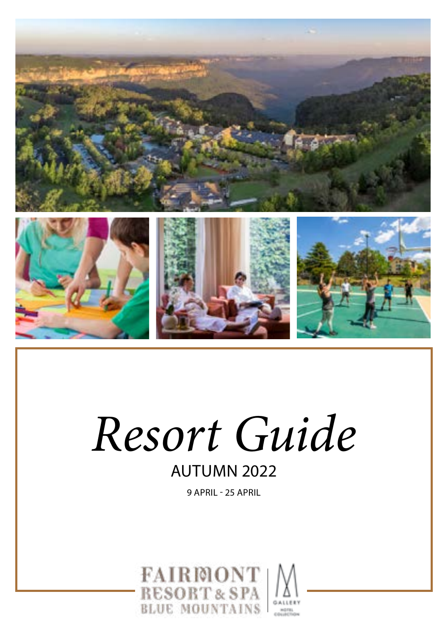

# *Resort Guide*

# AUTUMN 2022

9 APRIL - 25 APRIL

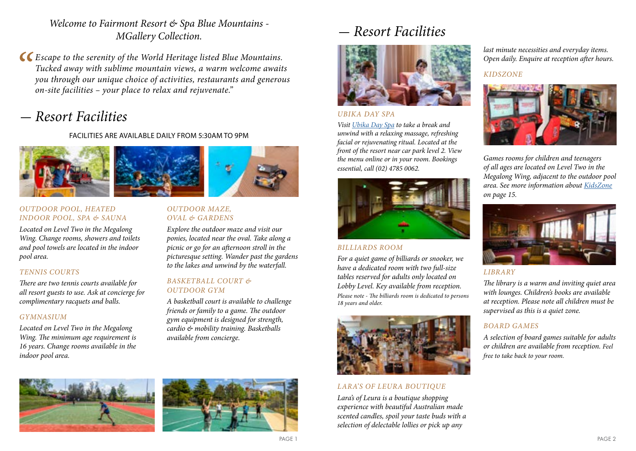*Welcome to Fairmont Resort & Spa Blue Mountains - MGallery Collection.*

**CE** *Escape to the serenity of the World Heritage listed Blue Mountains.*<br>Tucked away with sublime mountain views, a warm welcome await.<br>you through our unique choice of activities, restaurants and generot<br>on-site facilit *Tucked away with sublime mountain views, a warm welcome awaits you through our unique choice of activities, restaurants and generous on-site facilities – your place to relax and rejuvenate."*

# - *Resort Facilities*

FACILITIES ARE AVAILABLE DAILY FROM 5:30AM TO 9PM



### *OUTDOOR POOL, HEATED INDOOR POOL, SPA & SAUNA*

*Located on Level Two in the Megalong Wing. Change rooms, showers and toilets and pool towels are located in the indoor pool area.* 

## *TENNIS COURTS*

*There are two tennis courts available for all resort guests to use. Ask at concierge for complimentary racquets and balls.*

## *GYMNASIUM*

*Located on Level Two in the Megalong Wing. The minimum age requirement is 16 years. Change rooms available in the indoor pool area.* 



*Explore the outdoor maze and visit our ponies, located near the oval. Take along a picnic or go for an afternoon stroll in the picturesque setting. Wander past the gardens to the lakes and unwind by the waterfall.*

### *BASKETBALL COURT & OUTDOOR GYM*

*A basketball court is available to challenge friends or family to a game. The outdoor gym equipment is designed for strength, cardio & mobility training. Basketballs available from concierge.* 





# - *Resort Facilities*



#### *UBIKA DAY SPA*

*Visit [Ubika Day Spa](http://www.fairmontresort.com.au/ubika-day-spa/) to take a break and unwind with a relaxing massage, refreshing facial or rejuvenating ritual. Located at the front of the resort near car park level 2. View the menu online or in your room. Bookings essential, call (02) 4785 0062.* 



#### *BILLIARDS ROOM*

*For a quiet game of billiards or snooker, we have a dedicated room with two full-size tables reserved for adults only located on Lobby Level. Key available from reception. Please note - The billiards room is dedicated to persons 18 years and older.*



### *LARA'S OF LEURA BOUTIQUE*

*Lara's of Leura is a boutique shopping experience with beautiful Australian made scented candles, spoil your taste buds with a selection of delectable lollies or pick up any* 

*last minute necessities and everyday items. Open daily. Enquire at reception after hours.* 

### *KIDSZONE*



*Games rooms for children and teenagers of all ages are located on Level Two in the Megalong Wing, adjacent to the outdoor pool area. See more information about [KidsZone](https://www.fairmontresort.com.au/discover-the-resort/kidszone/) on page 15.*



## *LIBRARY*

*The library is a warm and inviting quiet area with lounges. Children's books are available at reception. Please note all children must be supervised as this is a quiet zone.* 

## *BOARD GAMES*

*A selection of board games suitable for adults or children are available from reception. Feel free to take back to your room.*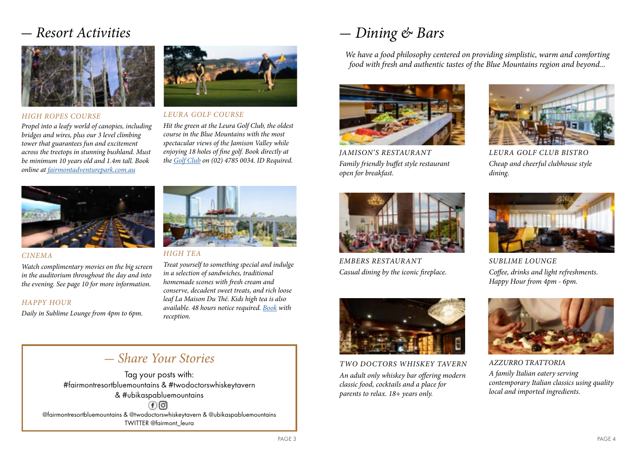# - *Resort Activities*



#### *HIGH ROPES COURSE*

*Propel into a leafy world of canopies, including bridges and wires, plus our 3 level climbing tower that guarantees fun and excitement across the treetops in stunning bushland. Must be minimum 10 years old and 1.4m tall. Book online at [fairmontadventurepark.com.au](https://www.fairmontresort.com.au/discover-the-resort/adventure-park/)*



#### *CINEMA*

*Watch complimentary movies on the big screen in the auditorium throughout the day and into the evening. See page 10 for more information.*

#### *HAPPY HOUR*

*Daily in Sublime Lounge from 4pm to 6pm.*



#### *LEURA GOLF COURSE*

*Hit the green at the Leura Golf Club, the oldest course in the Blue Mountains with the most spectacular views of the Jamison Valley while enjoying 18 holes of fine golf. Book directly at the [Golf Club](https://www.leuragolfclub.com.au/) on (02) 4785 0034. ID Required.*



#### *HIGH TEA*

*Treat yourself to something special and indulge in a selection of sandwiches, traditional homemade scones with fresh cream and conserve, decadent sweet treats, and rich loose leaf La Maison Du Thé. Kids high tea is also available. 48 hours notice required. [Book](https://www.fairmontresort.com.au/restaurants-bars/high-tea/) with reception.* 

# - *Share Your Stories*

Tag your posts with: #fairmontresortbluemountains & #twodoctorswhiskeytavern & #ubikaspabluemountains

⊕⊚ @fairmontresortbluemountains & @twodoctorswhiskeytavern & @ubikaspabluemountains TWITTER @fairmont\_leura

# - *Dining & Bars*

*We have a food philosophy centered on providing simplistic, warm and comforting food with fresh and authentic tastes of the Blue Mountains region and beyond...*



*JAMISON'S RESTAURANT Family friendly buffet style restaurant open for breakfast.* 



*LEURA GOLF CLUB BISTRO Cheap and cheerful clubhouse style dining.*



*EMBERS RESTAURANT Casual dining by the iconic fireplace.*



*SUBLIME LOUNGE Coffee, drinks and light refreshments. Happy Hour from 4pm - 6pm.*



*TWO DOCTORS WHISKEY TAVERN An adult only whiskey bar offering modern classic food, cocktails and a place for parents to relax. 18+ years only.*



*AZZURRO TRATTORIA A family Italian eatery serving contemporary Italian classics using quality local and imported ingredients.*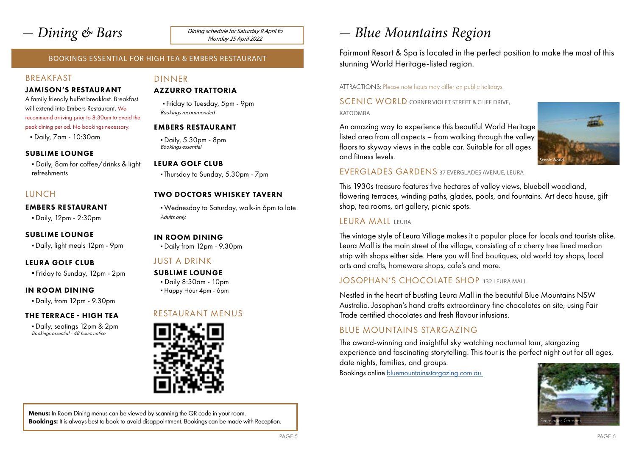- *Dining & Bars*

#### Dining schedule for Saturday 9 April to Monday 25 April 2022

#### BOOKINGS ESSENTIAL FOR HIGH TEA & EMBERS RESTAURANT

#### **BREAKFAST**

#### JAMISON'S RESTAURANT

A family friendly buffet breakfast. Breakfast will extend into Embers Restaurant. We recommend arriving prior to 8:30am to avoid the peak dining period. No bookings necessary.

▪ Daily, 7am - 10:30am

#### SUBLIME LOUNGE

▪ Daily, 8am for coffee/drinks & light refreshments

#### **LUNCH**

#### EMBERS RESTAURANT

▪ Daily, 12pm - 2:30pm

#### SUBLIME LOUNGE

▪ Daily, light meals 12pm - 9pm

#### LEURA GOLF CLUB

▪ Friday to Sunday, 12pm - 2pm

#### IN ROOM DINING

▪ Daily, from 12pm - 9.30pm

#### THE TERRACE - HIGH TEA

▪ Daily, seatings 12pm & 2pm Bookings essential - 48 hours notice

### DINNER

#### AZZURRO TRATTORIA

▪ Friday to Tuesday, 5pm - 9pm Bookings recommended

#### EMBERS RESTAURANT

▪ Daily, 5.30pm - 8pm Bookings essential

#### LEURA GOLF CLUB

▪ Thursday to Sunday, 5.30pm - 7pm

#### TWO DOCTORS WHISKEY TAVERN

▪ Wednesday to Saturday, walk-in 6pm to late Adults only.

#### IN ROOM DINING

▪ Daily from 12pm - 9.30pm

#### JUST A DRINK

#### SUBLIME LOUNGE

- Daily 8:30am 10pm
- Happy Hour 4pm 6pm

# RESTAURANT MENUS



Menus: In Room Dining menus can be viewed by scanning the QR code in your room. Bookings: It is always best to book to avoid disappointment. Bookings can be made with Reception.

# - *Blue Mountains Region*

Fairmont Resort & Spa is located in the perfect position to make the most of this stunning World Heritage-listed region.

#### ATTRACTIONS: Please note hours may differ on public holidays.

SCENIC WORLD CORNER VIOLET STREET & CLIFE DRIVE KATOOMBA

An amazing way to experience this beautiful World Heritage listed area from all aspects – from walking through the valley floors to skyway views in the cable car. Suitable for all ages and fitness levels.



#### EVERGLADES GARDENS 37 EVERGLADES AVENUE LEURA

This 1930s treasure features five hectares of valley views, bluebell woodland, flowering terraces, winding paths, glades, pools, and fountains. Art deco house, gift shop, tea rooms, art gallery, picnic spots.

### LEURA MALL LEURA

The vintage style of Leura Village makes it a popular place for locals and tourists alike. Leura Mall is the main street of the village, consisting of a cherry tree lined median strip with shops either side. Here you will find boutiques, old world toy shops, local arts and crafts, homeware shops, cafe's and more.

# JOSOPHAN'S CHOCOLATE SHOP 132 LEURA MALL

Nestled in the heart of bustling Leura Mall in the beautiful Blue Mountains NSW Australia. Josophan's hand crafts extraordinary fine chocolates on site, using Fair Trade certified chocolates and fresh flavour infusions.

### BLUE MOUNTAINS STARGAZING

The award-winning and insightful sky watching nocturnal tour, stargazing experience and fascinating storytelling. This tour is the perfect night out for all ages,

date nights, families, and groups. Bookings online [bluemountainsstargazing.com.au](https://www.bluemountainsstargazing.com.au/)

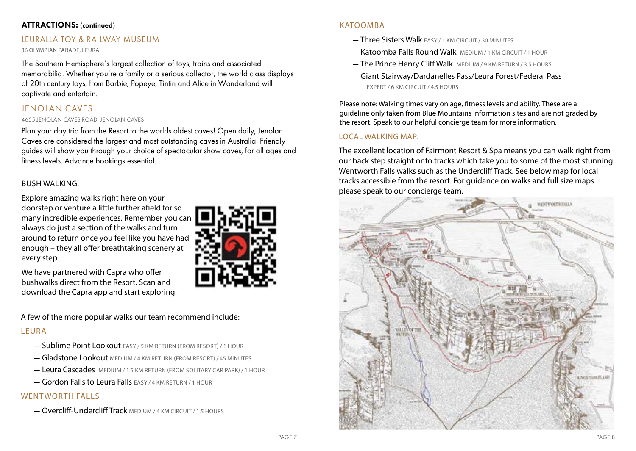### ATTRACTIONS: (continued)

### LEURALLA TOY & RAILWAY MUSEUM

36 OLYMPIAN PARADE, LEURA

The Southern Hemisphere's largest collection of toys, trains and associated memorabilia. Whether you're a family or a serious collector, the world class displays of 20th century toys, from Barbie, Popeye, Tintin and Alice in Wonderland will captivate and entertain.

# JENOLAN CAVES

#### 4655 JENOLAN CAVES ROAD, JENOLAN CAVES

Plan your day trip from the Resort to the worlds oldest caves! Open daily, Jenolan Caves are considered the largest and most outstanding caves in Australia. Friendly guides will show you through your choice of spectacular show caves, for all ages and fitness levels. Advance bookings essential.

### BUSH WALKING:

Explore amazing walks right here on your doorstep or venture a little further afield for so many incredible experiences. Remember you can always do just a section of the walks and turn around to return once you feel like you have had enough – they all offer breathtaking scenery at every step.

We have partnered with Capra who offer bushwalks direct from the Resort. Scan and download the Capra app and start exploring!

A few of the more popular walks our team recommend include:

## LEURA

- $-$  Sublime Point Lookout EASY / 5 KM RETURN (FROM RESORT) / 1 HOUR
- Gladstone Lookout MEDIUM / 4 KM RETURN (FROM RESORT) / 45 MINUTES
- Leura Cascades MEDIUM / 1.5 KM RETURN (FROM SOLITARY CAR PARK) / 1 HOUR
- $-$  Gordon Falls to Leura Falls EASY / 4 KM RETURN / 1 HOUR

# WENTWORTH FALLS

- Overcliff-Undercliff Track MEDIUM / 4 KM CIRCUIT / 1.5 HOURS



- Three Sisters Walk EASY / 1 KM CIRCUIT / 30 MINUTES
- Katoomba Falls Round Walk MEDIUM / 1 KM CIRCUIT / 1 HOUR
- The Prince Henry Cliff Walk MEDIUM / 9 KM RETURN / 3.5 HOURS
- Giant Stairway/Dardanelles Pass/Leura Forest/Federal Pass EXPERT / 6 KM CIRCUIT / 4.5 HOURS

Please note: Walking times vary on age, fitness levels and ability. These are a guideline only taken from Blue Mountains information sites and are not graded by the resort. Speak to our helpful concierge team for more information.

### LOCAL WALKING MAP:

The excellent location of Fairmont Resort & Spa means you can walk right from our back step straight onto tracks which take you to some of the most stunning Wentworth Falls walks such as the Undercliff Track. See below map for local tracks accessible from the resort. For guidance on walks and full size maps please speak to our concierge team.

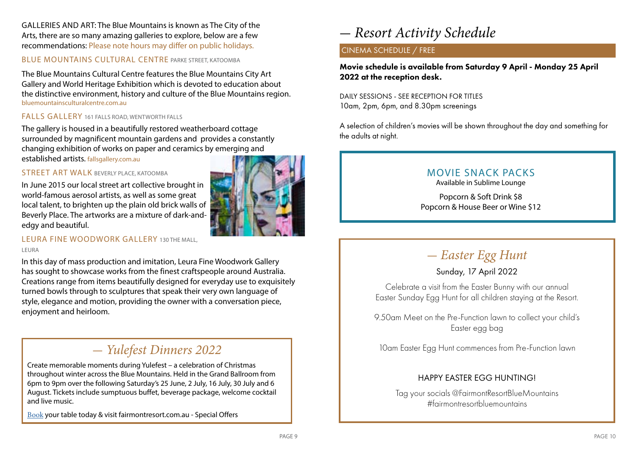GALLERIES AND ART: The Blue Mountains is known as The City of the Arts, there are so many amazing galleries to explore, below are a few recommendations: Please note hours may differ on public holidays.

## BLUE MOUNTAINS CULTURAL CENTRE PARKE STREET, KATOOMBA

The Blue Mountains Cultural Centre features the Blue Mountains City Art Gallery and World Heritage Exhibition which is devoted to education about the distinctive environment, history and culture of the Blue Mountains region. bluemountainsculturalcentre.com.au

# FALLS GALLERY 161 FALLS ROAD, WENTWORTH FALLS

The gallery is housed in a beautifully restored weatherboard cottage surrounded by magnificent mountain gardens and provides a constantly changing exhibition of works on paper and ceramics by emerging and established artists. fallsgallery.com.au

### STREET ART WALK BEVERLY PLACE, KATOOMBA

In June 2015 our local street art collective brought in world-famous aerosol artists, as well as some great local talent, to brighten up the plain old brick walls of Beverly Place. The artworks are a mixture of dark-andedgy and beautiful.



#### LEURA FINE WOODWORK GALLERY 130 THE MALL, LEURA

In this day of mass production and imitation, Leura Fine Woodwork Gallery has sought to showcase works from the finest craftspeople around Australia. Creations range from items beautifully designed for everyday use to exquisitely turned bowls through to sculptures that speak their very own language of style, elegance and motion, providing the owner with a conversation piece, enjoyment and heirloom.

# - *Yulefest Dinners 2022*

Create memorable moments during Yulefest – a celebration of Christmas throughout winter across the Blue Mountains. Held in the Grand Ballroom from 6pm to 9pm over the following Saturday's 25 June, 2 July, 16 July, 30 July and 6 August. Tickets include sumptuous buffet, beverage package, welcome cocktail and live music.

[Book](https://fairmontresort.iwannaticket.com.au/event/yulefest-dinner-MjYxNDU) your table today & visit fairmontresort.com.au - Special Offers

# - *Resort Activity Schedule*

# CINEMA SCHEDULE / FREE

# Movie schedule is available from Saturday 9 April - Monday 25 April 2022 at the reception desk.

DAILY SESSIONS - SEE RECEPTION FOR TITLES 10am, 2pm, 6pm, and 8.30pm screenings

A selection of children's movies will be shown throughout the day and something for the adults at night.

# MOVIE SNACK PACKS

Available in Sublime Lounge

Popcorn & Soft Drink \$8 Popcorn & House Beer or Wine \$12

# - *Easter Egg Hunt*

Sunday, 17 April 2022

Celebrate a visit from the Easter Bunny with our annual Easter Sunday Egg Hunt for all children staying at the Resort.

9.50am Meet on the Pre-Function lawn to collect your child's Easter egg bag

10am Easter Egg Hunt commences from Pre-Function lawn

# HAPPY EASTER EGG HUNTING!

Tag your socials @FairmontResortBlueMountains #fairmontresortbluemountains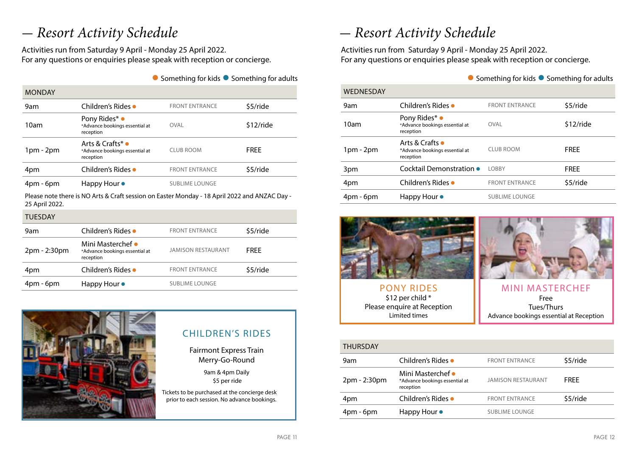# - *Resort Activity Schedule*

Activities run from Saturday 9 April - Monday 25 April 2022. For any questions or enquiries please speak with reception or concierge.

### ● Something for kids ● Something for adults

| <b>MONDAY</b>  |                                                                          |                       |             |
|----------------|--------------------------------------------------------------------------|-----------------------|-------------|
| 9am            | Children's Rides •                                                       | <b>FRONT ENTRANCE</b> | \$5/ride    |
| 10am           | Pony Rides <sup>*</sup> ●<br>*Advance bookings essential at<br>reception | OVAL                  | \$12/ride   |
| $1pm - 2pm$    | Arts & Crafts* •<br>*Advance bookings essential at<br>reception          | <b>CLUB ROOM</b>      | <b>FREE</b> |
| 4pm            | Children's Rides •                                                       | <b>FRONT ENTRANCE</b> | \$5/ride    |
| $4pm$ - 6 $pm$ | Happy Hour •                                                             | <b>SUBLIME LOUNGE</b> |             |

Please note there is NO Arts & Craft session on Easter Monday - 18 April 2022 and ANZAC Day - 25 April 2022.

| <b>TUESDAY</b> |                                                                  |                           |             |
|----------------|------------------------------------------------------------------|---------------------------|-------------|
| 9am            | Children's Rides •                                               | <b>FRONT ENTRANCE</b>     | \$5/ride    |
| 2pm - 2:30pm   | Mini Masterchef •<br>*Advance bookings essential at<br>reception | <b>JAMISON RESTAURANT</b> | <b>FRFF</b> |
| 4pm            | Children's Rides •                                               | <b>FRONT ENTRANCE</b>     | \$5/ride    |
| $4pm$ - 6 $pm$ | Happy Hour •                                                     | <b>SUBLIME LOUNGE</b>     |             |



# CHILDREN'S RIDES

Fairmont Express Train Merry-Go-Round

9am & 4pm Daily \$5 per ride

Tickets to be purchased at the concierge desk prior to each session. No advance bookings.

# - *Resort Activity Schedule*

Activities run from Saturday 9 April - Monday 25 April 2022. For any questions or enquiries please speak with reception or concierge.

#### $\bullet$  Something for kids  $\bullet$  Something for adults

| <b>WEDNESDAY</b> |                                                                          |                       |             |
|------------------|--------------------------------------------------------------------------|-----------------------|-------------|
| 9am              | Children's Rides •                                                       | <b>FRONT ENTRANCE</b> | \$5/ride    |
| 10am             | Pony Rides <sup>*</sup> ●<br>*Advance bookings essential at<br>reception | OVAL                  | \$12/ride   |
| 1pm - 2pm        | Arts & Crafts •<br>*Advance bookings essential at<br>reception           | <b>CLUB ROOM</b>      | <b>FRFF</b> |
| 3pm              | Cocktail Demonstration •                                                 | <b>I OBBY</b>         | <b>FRFF</b> |
| 4pm              | Children's Rides •                                                       | <b>FRONT ENTRANCE</b> | \$5/ride    |
| $4pm$ - 6pm      | Happy Hour •                                                             | <b>SUBLIME LOUNGE</b> |             |



PONY RIDES \$12 per child \* Please enquire at Reception Limited times



MINI MASTERCHEF Free Tues/Thurs Advance bookings essential at Reception

#### THURSDAY

| 9am            | Children's Rides •                                               | <b>FRONT ENTRANCE</b>     | \$5/ride    |
|----------------|------------------------------------------------------------------|---------------------------|-------------|
| 2pm - 2:30pm   | Mini Masterchef •<br>*Advance bookings essential at<br>reception | <b>JAMISON RESTAURANT</b> | <b>FRFF</b> |
| 4pm            | Children's Rides •                                               | <b>FRONT ENTRANCE</b>     | \$5/ride    |
| $4pm$ - 6 $pm$ | Happy Hour $\bullet$                                             | <b>SUBLIME LOUNGE</b>     |             |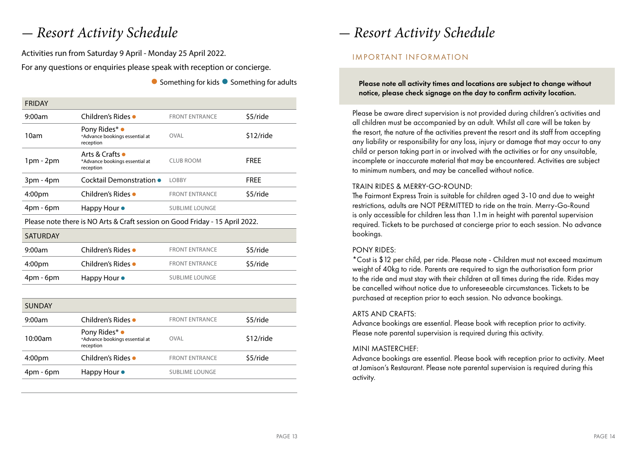# - *Resort Activity Schedule*

Activities run from Saturday 9 April - Monday 25 April 2022.

For any questions or enquiries please speak with reception or concierge.

● Something for kids ● Something for adults

| <b>FRIDAY</b>      |                                                                              |                       |             |
|--------------------|------------------------------------------------------------------------------|-----------------------|-------------|
| 9:00am             | Children's Rides •                                                           | <b>FRONT ENTRANCE</b> | \$5/ride    |
| 10am               | Pony Rides* •<br>*Advance bookings essential at<br>reception                 | <b>OVAI</b>           | \$12/ride   |
| $1pm - 2pm$        | Arts & Crafts •<br>*Advance bookings essential at<br>reception               | <b>CLUB ROOM</b>      | <b>FREE</b> |
| 3pm - 4pm          | Cocktail Demonstration •                                                     | <b>LOBBY</b>          | <b>FREE</b> |
| 4:00 <sub>pm</sub> | Children's Rides ●                                                           | <b>FRONT ENTRANCE</b> | \$5/ride    |
| $4pm$ - 6pm        | Happy Hour •                                                                 | <b>SUBLIME LOUNGE</b> |             |
|                    | Please note there is NO Arts & Craft session on Good Friday - 15 April 2022. |                       |             |
| <b>SATURDAY</b>    |                                                                              |                       |             |
| 9:00am             | Children's Rides •                                                           | <b>FRONT ENTRANCE</b> | \$5/ride    |
| 4:00 <sub>pm</sub> | Children's Rides ●                                                           | <b>FRONT ENTRANCE</b> | \$5/ride    |
| $4pm$ - 6pm        | Happy Hour $\bullet$                                                         | <b>SUBLIME LOUNGE</b> |             |
|                    |                                                                              |                       |             |
| <b>SUNDAY</b>      |                                                                              |                       |             |
| 9:00am             | Children's Rides •                                                           | <b>FRONT ENTRANCE</b> | \$5/ride    |
|                    | Pony Rides* •                                                                |                       |             |

| 10:00am        | Pony Rides* •<br>*Advance bookings essential at<br>reception | OVAL                  | \$12/ride |
|----------------|--------------------------------------------------------------|-----------------------|-----------|
| 4:00pm         | Children's Rides •                                           | <b>FRONT ENTRANCE</b> | \$5/ride  |
| $4pm$ - 6 $pm$ | Happy Hour $\bullet$                                         | <b>SUBLIME LOUNGE</b> |           |

# - *Resort Activity Schedule*

# IMPORTANT INFORMATION

Please note all activity times and locations are subject to change without notice, please check signage on the day to confirm activity location.

Please be aware direct supervision is not provided during children's activities and all children must be accompanied by an adult. Whilst all care will be taken by the resort, the nature of the activities prevent the resort and its staff from accepting any liability or responsibility for any loss, injury or damage that may occur to any child or person taking part in or involved with the activities or for any unsuitable, incomplete or inaccurate material that may be encountered. Activities are subject to minimum numbers, and may be cancelled without notice.

### TRAIN RIDES & MERRY-GO-ROUND:

The Fairmont Express Train is suitable for children aged 3-10 and due to weight restrictions, adults are NOT PERMITTED to ride on the train. Merry-Go-Round is only accessible for children less than 1.1m in height with parental supervision required. Tickets to be purchased at concierge prior to each session. No advance bookings.

### PONY RIDES:

\*Cost is \$12 per child, per ride. Please note - Children must not exceed maximum weight of 40kg to ride. Parents are required to sign the authorisation form prior to the ride and must stay with their children at all times during the ride. Rides may be cancelled without notice due to unforeseeable circumstances. Tickets to be purchased at reception prior to each session. No advance bookings.

#### ARTS AND CRAFTS:

Advance bookings are essential. Please book with reception prior to activity. Please note parental supervision is required during this activity.

#### MINI MASTERCHEF:

Advance bookings are essential. Please book with reception prior to activity. Meet at Jamison's Restaurant. Please note parental supervision is required during this activity.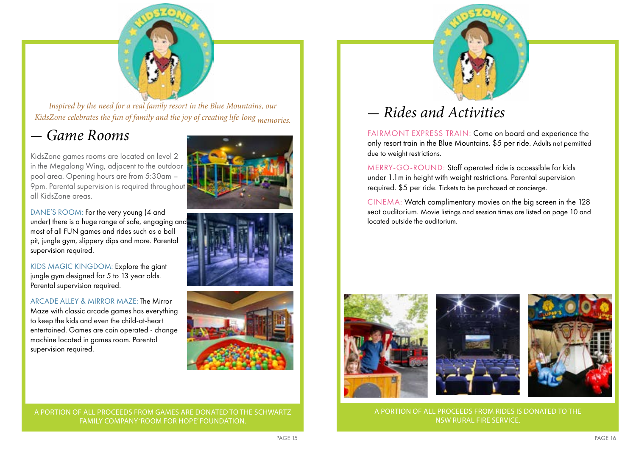

*Inspired by the need for a real family resort in the Blue Mountains, our KidsZone celebrates the fun of family and the joy of creating life-long memories.* 

# - *Game Rooms*

KidsZone games rooms are located on level 2 in the Megalong Wing, adjacent to the outdoor pool area. Opening hours are from 5:30am – 9pm. Parental supervision is required throughout all KidsZone areas.

DANE'S ROOM: For the very young (4 and under) there is a huge range of safe, engaging and most of all FUN games and rides such as a ball pit, jungle gym, slippery dips and more. Parental supervision required.

KIDS MAGIC KINGDOM: Explore the giant jungle gym designed for 5 to 13 year olds. Parental supervision required.

ARCADE ALLEY & MIRROR MAZE: The Mirror Maze with classic arcade games has everything to keep the kids and even the child-at-heart entertained. Games are coin operated - change machine located in games room. Parental supervision required.







A PORTION OF ALL PROCEEDS FROM GAMES ARE DONATED TO THE SCHWARTZ FAMILY COMPANY 'ROOM FOR HOPE' FOUNDATION.



# - *Rides and Activities*

FAIRMONT EXPRESS TRAIN: Come on board and experience the only resort train in the Blue Mountains. \$5 per ride. Adults not permitted due to weight restrictions.

MERRY-GO-ROUND: Staff operated ride is accessible for kids under 1.1m in height with weight restrictions. Parental supervision required. \$5 per ride. Tickets to be purchased at concierge.

CINEMA: Watch complimentary movies on the big screen in the 128 seat auditorium. Movie listings and session times are listed on page 10 and located outside the auditorium.







A PORTION OF ALL PROCEEDS FROM RIDES IS DONATED TO THE NSW RURAL FIRE SERVICE.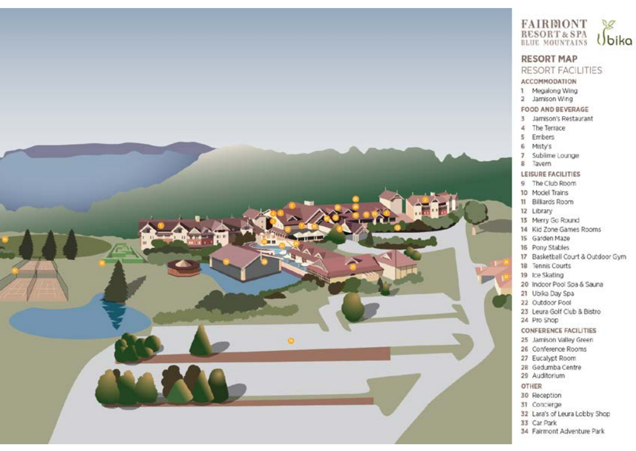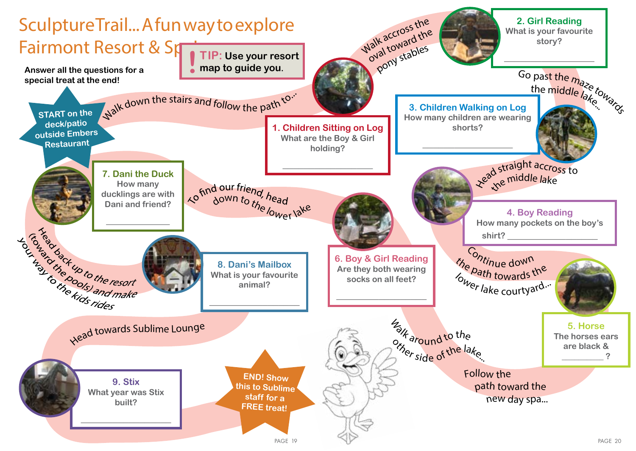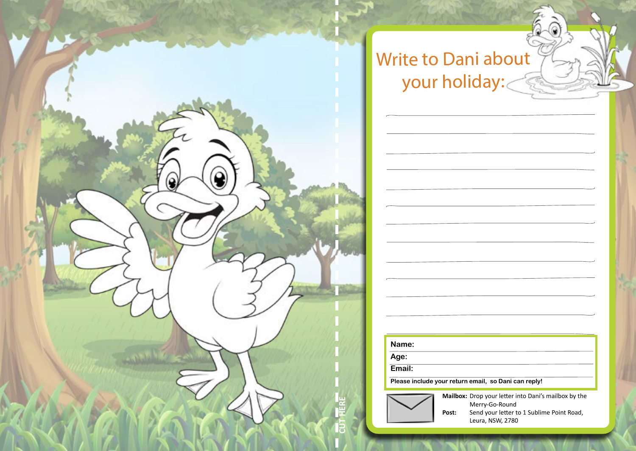

# Write to Dani about your holiday:

| Name:                                                              |
|--------------------------------------------------------------------|
| Age:                                                               |
| Email:                                                             |
| Please include your return email, so Dani can reply!               |
| <b>Mailbox:</b> Drop your letter into Dani's mailbox by the<br>--- |



Merry-Go-Round Post: Send your letter to 1 Sublime Point Road, Leura, NSW, 2780